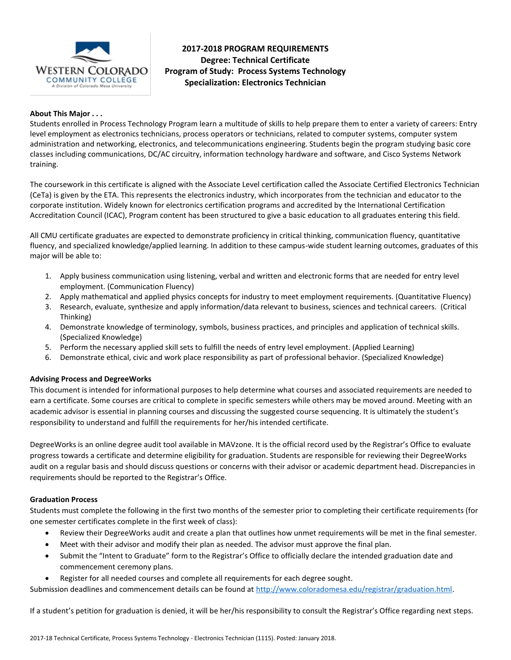

# **2017-2018 PROGRAM REQUIREMENTS Degree: Technical Certificate Program of Study: Process Systems Technology Specialization: Electronics Technician**

### **About This Major . . .**

Students enrolled in Process Technology Program learn a multitude of skills to help prepare them to enter a variety of careers: Entry level employment as electronics technicians, process operators or technicians, related to computer systems, computer system administration and networking, electronics, and telecommunications engineering. Students begin the program studying basic core classes including communications, DC/AC circuitry, information technology hardware and software, and Cisco Systems Network training.

The coursework in this certificate is aligned with the Associate Level certification called the Associate Certified Electronics Technician (CeTa) is given by the ETA. This represents the electronics industry, which incorporates from the technician and educator to the corporate institution. Widely known for electronics certification programs and accredited by the International Certification Accreditation Council (ICAC), Program content has been structured to give a basic education to all graduates entering this field.

All CMU certificate graduates are expected to demonstrate proficiency in critical thinking, communication fluency, quantitative fluency, and specialized knowledge/applied learning. In addition to these campus-wide student learning outcomes, graduates of this major will be able to:

- 1. Apply business communication using listening, verbal and written and electronic forms that are needed for entry level employment. (Communication Fluency)
- 2. Apply mathematical and applied physics concepts for industry to meet employment requirements. (Quantitative Fluency)
- 3. Research, evaluate, synthesize and apply information/data relevant to business, sciences and technical careers. (Critical Thinking)
- 4. Demonstrate knowledge of terminology, symbols, business practices, and principles and application of technical skills. (Specialized Knowledge)
- 5. Perform the necessary applied skill sets to fulfill the needs of entry level employment. (Applied Learning)
- 6. Demonstrate ethical, civic and work place responsibility as part of professional behavior. (Specialized Knowledge)

### **Advising Process and DegreeWorks**

This document is intended for informational purposes to help determine what courses and associated requirements are needed to earn a certificate. Some courses are critical to complete in specific semesters while others may be moved around. Meeting with an academic advisor is essential in planning courses and discussing the suggested course sequencing. It is ultimately the student's responsibility to understand and fulfill the requirements for her/his intended certificate.

DegreeWorks is an online degree audit tool available in MAVzone. It is the official record used by the Registrar's Office to evaluate progress towards a certificate and determine eligibility for graduation. Students are responsible for reviewing their DegreeWorks audit on a regular basis and should discuss questions or concerns with their advisor or academic department head. Discrepancies in requirements should be reported to the Registrar's Office.

#### **Graduation Process**

Students must complete the following in the first two months of the semester prior to completing their certificate requirements (for one semester certificates complete in the first week of class):

- Review their DegreeWorks audit and create a plan that outlines how unmet requirements will be met in the final semester.
- Meet with their advisor and modify their plan as needed. The advisor must approve the final plan.
- Submit the "Intent to Graduate" form to the Registrar's Office to officially declare the intended graduation date and commencement ceremony plans.
- Register for all needed courses and complete all requirements for each degree sought.

Submission deadlines and commencement details can be found at [http://www.coloradomesa.edu/registrar/graduation.html.](http://www.coloradomesa.edu/registrar/graduation.html)

If a student's petition for graduation is denied, it will be her/his responsibility to consult the Registrar's Office regarding next steps.